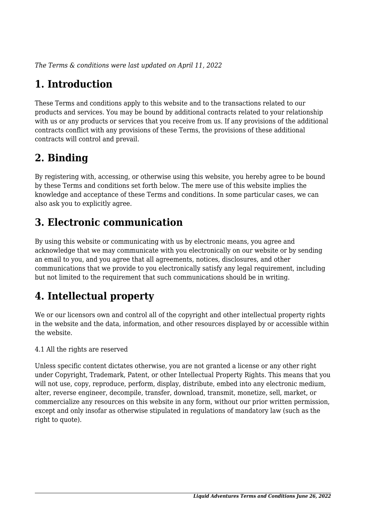*The Terms & conditions were last updated on April 11, 2022*

# **1. Introduction**

These Terms and conditions apply to this website and to the transactions related to our products and services. You may be bound by additional contracts related to your relationship with us or any products or services that you receive from us. If any provisions of the additional contracts conflict with any provisions of these Terms, the provisions of these additional contracts will control and prevail.

# **2. Binding**

By registering with, accessing, or otherwise using this website, you hereby agree to be bound by these Terms and conditions set forth below. The mere use of this website implies the knowledge and acceptance of these Terms and conditions. In some particular cases, we can also ask you to explicitly agree.

# **3. Electronic communication**

By using this website or communicating with us by electronic means, you agree and acknowledge that we may communicate with you electronically on our website or by sending an email to you, and you agree that all agreements, notices, disclosures, and other communications that we provide to you electronically satisfy any legal requirement, including but not limited to the requirement that such communications should be in writing.

# **4. Intellectual property**

We or our licensors own and control all of the copyright and other intellectual property rights in the website and the data, information, and other resources displayed by or accessible within the website.

4.1 All the rights are reserved

Unless specific content dictates otherwise, you are not granted a license or any other right under Copyright, Trademark, Patent, or other Intellectual Property Rights. This means that you will not use, copy, reproduce, perform, display, distribute, embed into any electronic medium, alter, reverse engineer, decompile, transfer, download, transmit, monetize, sell, market, or commercialize any resources on this website in any form, without our prior written permission, except and only insofar as otherwise stipulated in regulations of mandatory law (such as the right to quote).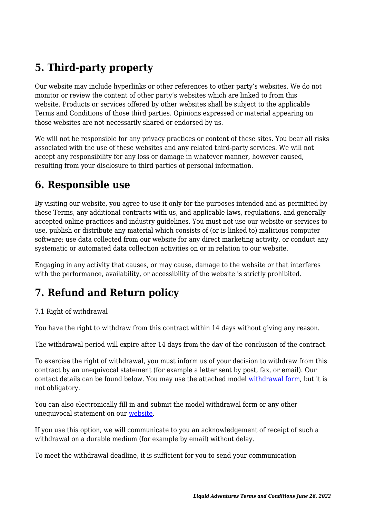# **5. Third-party property**

Our website may include hyperlinks or other references to other party's websites. We do not monitor or review the content of other party's websites which are linked to from this website. Products or services offered by other websites shall be subject to the applicable Terms and Conditions of those third parties. Opinions expressed or material appearing on those websites are not necessarily shared or endorsed by us.

We will not be responsible for any privacy practices or content of these sites. You bear all risks associated with the use of these websites and any related third-party services. We will not accept any responsibility for any loss or damage in whatever manner, however caused, resulting from your disclosure to third parties of personal information.

#### **6. Responsible use**

By visiting our website, you agree to use it only for the purposes intended and as permitted by these Terms, any additional contracts with us, and applicable laws, regulations, and generally accepted online practices and industry guidelines. You must not use our website or services to use, publish or distribute any material which consists of (or is linked to) malicious computer software; use data collected from our website for any direct marketing activity, or conduct any systematic or automated data collection activities on or in relation to our website.

Engaging in any activity that causes, or may cause, damage to the website or that interferes with the performance, availability, or accessibility of the website is strictly prohibited.

## **7. Refund and Return policy**

#### 7.1 Right of withdrawal

You have the right to withdraw from this contract within 14 days without giving any reason.

The withdrawal period will expire after 14 days from the day of the conclusion of the contract.

To exercise the right of withdrawal, you must inform us of your decision to withdraw from this contract by an unequivocal statement (for example a letter sent by post, fax, or email). Our contact details can be found below. You may use the attached model [withdrawal form](https://liquidadventures.co.za/wp-content/uploads/complianz/withdrawal-forms/withdrawal-form-en.pdf), but it is not obligatory.

You can also electronically fill in and submit the model withdrawal form or any other unequivocal statement on our [website](https://liquidadventures.co.za/contact/).

If you use this option, we will communicate to you an acknowledgement of receipt of such a withdrawal on a durable medium (for example by email) without delay.

To meet the withdrawal deadline, it is sufficient for you to send your communication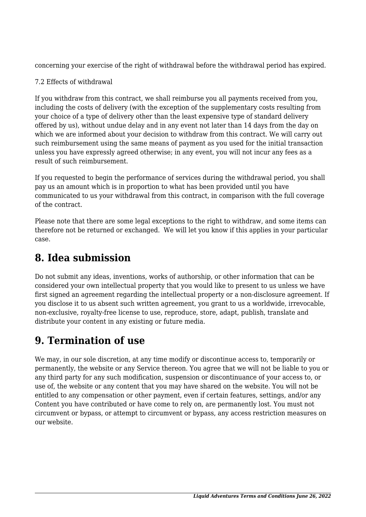concerning your exercise of the right of withdrawal before the withdrawal period has expired.

#### 7.2 Effects of withdrawal

If you withdraw from this contract, we shall reimburse you all payments received from you, including the costs of delivery (with the exception of the supplementary costs resulting from your choice of a type of delivery other than the least expensive type of standard delivery offered by us), without undue delay and in any event not later than 14 days from the day on which we are informed about your decision to withdraw from this contract. We will carry out such reimbursement using the same means of payment as you used for the initial transaction unless you have expressly agreed otherwise; in any event, you will not incur any fees as a result of such reimbursement.

If you requested to begin the performance of services during the withdrawal period, you shall pay us an amount which is in proportion to what has been provided until you have communicated to us your withdrawal from this contract, in comparison with the full coverage of the contract.

Please note that there are some legal exceptions to the right to withdraw, and some items can therefore not be returned or exchanged. We will let you know if this applies in your particular case.

## **8. Idea submission**

Do not submit any ideas, inventions, works of authorship, or other information that can be considered your own intellectual property that you would like to present to us unless we have first signed an agreement regarding the intellectual property or a non-disclosure agreement. If you disclose it to us absent such written agreement, you grant to us a worldwide, irrevocable, non-exclusive, royalty-free license to use, reproduce, store, adapt, publish, translate and distribute your content in any existing or future media.

## **9. Termination of use**

We may, in our sole discretion, at any time modify or discontinue access to, temporarily or permanently, the website or any Service thereon. You agree that we will not be liable to you or any third party for any such modification, suspension or discontinuance of your access to, or use of, the website or any content that you may have shared on the website. You will not be entitled to any compensation or other payment, even if certain features, settings, and/or any Content you have contributed or have come to rely on, are permanently lost. You must not circumvent or bypass, or attempt to circumvent or bypass, any access restriction measures on our website.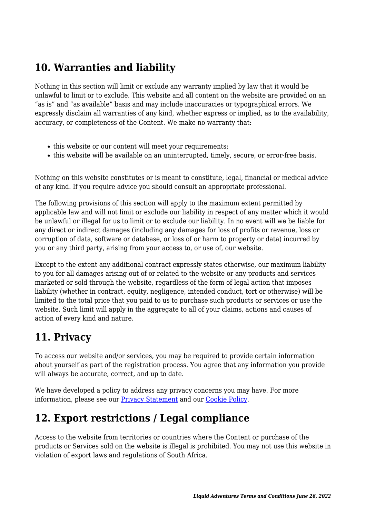## **10. Warranties and liability**

Nothing in this section will limit or exclude any warranty implied by law that it would be unlawful to limit or to exclude. This website and all content on the website are provided on an "as is" and "as available" basis and may include inaccuracies or typographical errors. We expressly disclaim all warranties of any kind, whether express or implied, as to the availability, accuracy, or completeness of the Content. We make no warranty that:

- this website or our content will meet your requirements;
- this website will be available on an uninterrupted, timely, secure, or error-free basis.

Nothing on this website constitutes or is meant to constitute, legal, financial or medical advice of any kind. If you require advice you should consult an appropriate professional.

The following provisions of this section will apply to the maximum extent permitted by applicable law and will not limit or exclude our liability in respect of any matter which it would be unlawful or illegal for us to limit or to exclude our liability. In no event will we be liable for any direct or indirect damages (including any damages for loss of profits or revenue, loss or corruption of data, software or database, or loss of or harm to property or data) incurred by you or any third party, arising from your access to, or use of, our website.

Except to the extent any additional contract expressly states otherwise, our maximum liability to you for all damages arising out of or related to the website or any products and services marketed or sold through the website, regardless of the form of legal action that imposes liability (whether in contract, equity, negligence, intended conduct, tort or otherwise) will be limited to the total price that you paid to us to purchase such products or services or use the website. Such limit will apply in the aggregate to all of your claims, actions and causes of action of every kind and nature.

## **11. Privacy**

To access our website and/or services, you may be required to provide certain information about yourself as part of the registration process. You agree that any information you provide will always be accurate, correct, and up to date.

We have developed a policy to address any privacy concerns you may have. For more information, please see our **Privacy Statement** and our [Cookie Policy](https://liquidadventures.co.za/cookie-policy-za/).

### **12. Export restrictions / Legal compliance**

Access to the website from territories or countries where the Content or purchase of the products or Services sold on the website is illegal is prohibited. You may not use this website in violation of export laws and regulations of South Africa.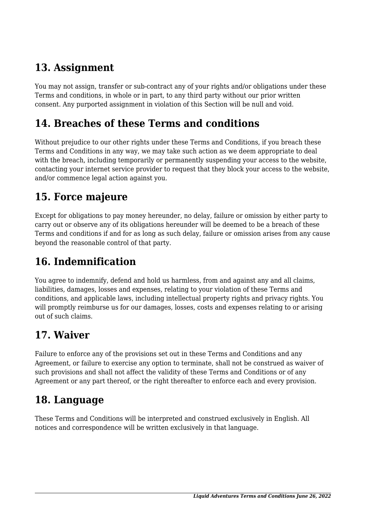## **13. Assignment**

You may not assign, transfer or sub-contract any of your rights and/or obligations under these Terms and conditions, in whole or in part, to any third party without our prior written consent. Any purported assignment in violation of this Section will be null and void.

#### **14. Breaches of these Terms and conditions**

Without prejudice to our other rights under these Terms and Conditions, if you breach these Terms and Conditions in any way, we may take such action as we deem appropriate to deal with the breach, including temporarily or permanently suspending your access to the website, contacting your internet service provider to request that they block your access to the website, and/or commence legal action against you.

### **15. Force majeure**

Except for obligations to pay money hereunder, no delay, failure or omission by either party to carry out or observe any of its obligations hereunder will be deemed to be a breach of these Terms and conditions if and for as long as such delay, failure or omission arises from any cause beyond the reasonable control of that party.

## **16. Indemnification**

You agree to indemnify, defend and hold us harmless, from and against any and all claims, liabilities, damages, losses and expenses, relating to your violation of these Terms and conditions, and applicable laws, including intellectual property rights and privacy rights. You will promptly reimburse us for our damages, losses, costs and expenses relating to or arising out of such claims.

### **17. Waiver**

Failure to enforce any of the provisions set out in these Terms and Conditions and any Agreement, or failure to exercise any option to terminate, shall not be construed as waiver of such provisions and shall not affect the validity of these Terms and Conditions or of any Agreement or any part thereof, or the right thereafter to enforce each and every provision.

### **18. Language**

These Terms and Conditions will be interpreted and construed exclusively in English. All notices and correspondence will be written exclusively in that language.